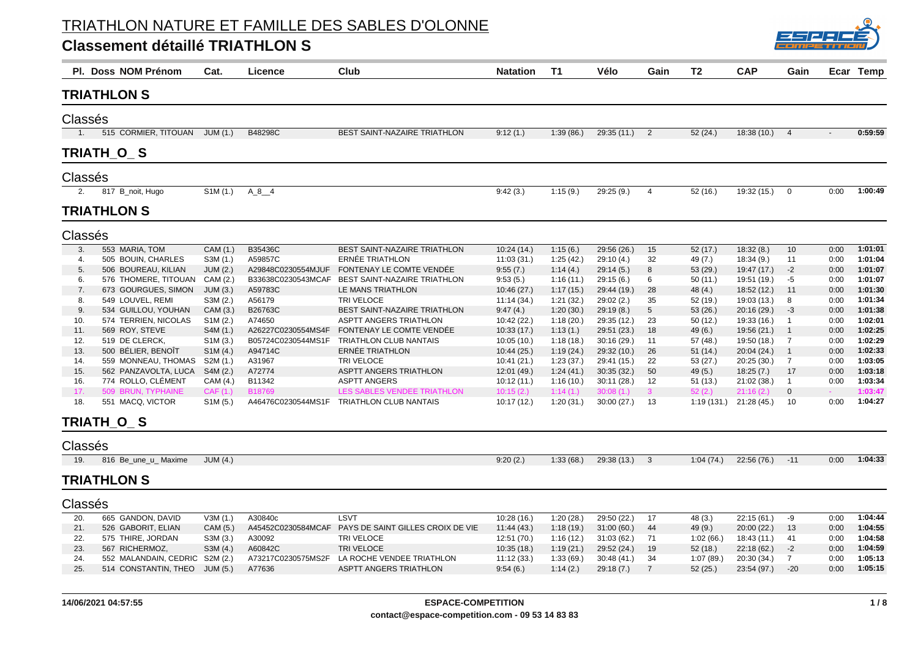

|                  | PI. Doss NOM Prénom   | Cat.                  | Licence            | Club                                                 | <b>Natation</b> | <b>T1</b> | Vélo        | Gain                     | T <sub>2</sub> | <b>CAP</b>  | Gain           |      | Ecar Temp |
|------------------|-----------------------|-----------------------|--------------------|------------------------------------------------------|-----------------|-----------|-------------|--------------------------|----------------|-------------|----------------|------|-----------|
|                  | <b>TRIATHLON S</b>    |                       |                    |                                                      |                 |           |             |                          |                |             |                |      |           |
| Classés          |                       |                       |                    |                                                      |                 |           |             |                          |                |             |                |      |           |
| $\overline{1}$ . | 515 CORMIER, TITOUAN  | JUM(1.)               | B48298C            | BEST SAINT-NAZAIRE TRIATHLON                         | 9:12(1)         | 1:39(86.) | 29:35(11)   | $\overline{\phantom{0}}$ | 52(24.)        | 18:38 (10.) | $\overline{4}$ |      | 0:59:59   |
|                  | TRIATH_O_S            |                       |                    |                                                      |                 |           |             |                          |                |             |                |      |           |
| Classés          |                       |                       |                    |                                                      |                 |           |             |                          |                |             |                |      |           |
| 2.               | 817 B_noit, Hugo      | S1M (1.)              | $A_8$ $4$          |                                                      | 9:42(3.)        | 1:15(9.)  | 29:25 (9.)  | $\overline{a}$           | 52 (16.)       | 19:32 (15.) | $\mathbf 0$    | 0:00 | 1:00:49   |
|                  | <b>TRIATHLON S</b>    |                       |                    |                                                      |                 |           |             |                          |                |             |                |      |           |
| Classés          |                       |                       |                    |                                                      |                 |           |             |                          |                |             |                |      |           |
| 3.               | 553 MARIA, TOM        | CAM (1.)              | B35436C            | BEST SAINT-NAZAIRE TRIATHLON                         | 10:24(14.)      | 1:15(6.)  | 29:56 (26.) | 15                       | 52(17.)        | 18:32(8.)   | 10             | 0:00 | 1:01:01   |
| 4.               | 505 BOUIN, CHARLES    | S3M (1.)              | A59857C            | ERNÉE TRIATHLON                                      | 11:03 (31.)     | 1:25(42.) | 29:10 (4.)  | 32                       | 49 (7.)        | 18:34(9.)   | 11             | 0:00 | 1:01:04   |
| 5.               | 506 BOUREAU, KILIAN   | <b>JUM (2.)</b>       | A29848C0230554MJUF | FONTENAY LE COMTE VENDÉE                             | 9:55(7.)        | 1:14(4.)  | 29:14(5.)   | 8                        | 53(29.)        | 19:47 (17.) | $-2$           | 0:00 | 1:01:07   |
| 6.               | 576 THOMERE, TITOUAN  | CAM (2.)              | B33638C0230543MCAF | BEST SAINT-NAZAIRE TRIATHLON                         | 9:53(5.)        | 1:16(11.) | 29:15(6)    | 6                        | 50(11.)        | 19:51 (19.) | $-5$           | 0:00 | 1:01:07   |
| 7.               | 673 GOURGUES, SIMON   | JUM(3.)               | A59783C            | LE MANS TRIATHLON                                    | 10:46 (27.)     | 1:17(15.) | 29:44 (19.) | 28                       | 48(4.)         | 18:52 (12.) | 11             | 0:00 | 1:01:30   |
| 8.               | 549 LOUVEL, REMI      | S3M (2.)              | A56179             | TRI VELOCE                                           | 11:14 (34.)     | 1:21(32)  | 29:02(2.)   | 35                       | 52(19.)        | 19:03 (13.) | 8              | 0:00 | 1:01:34   |
| 9.               | 534 GUILLOU, YOUHAN   | CAM (3.)              | B26763C            | BEST SAINT-NAZAIRE TRIATHLON                         | 9:47(4)         | 1:20(30.) | 29:19(8.)   | 5                        | 53(26.)        | 20:16 (29.) | $-3$           | 0:00 | 1:01:38   |
| 10.              | 574 TERRIEN, NICOLAS  | SIM (2.)              | A74650             | <b>ASPTT ANGERS TRIATHLON</b>                        | 10:42 (22.)     | 1:18(20.) | 29:35 (12.) | 23                       | 50(12.)        | 19:33 (16.) | $\overline{1}$ | 0:00 | 1:02:01   |
| 11.              | 569 ROY, STEVE        | S4M (1.)              | A26227C0230554MS4F | FONTENAY LE COMTE VENDÉE                             | 10:33(17.)      | 1:13(1.)  | 29:51 (23.) | 18                       | 49(6.)         | 19:56 (21.) | -1             | 0:00 | 1:02:25   |
| 12.              | 519 DE CLERCK,        | S <sub>1</sub> M (3.) | B05724C0230544MS1F | <b>TRIATHLON CLUB NANTAIS</b>                        | 10:05(10.)      | 1:18(18)  | 30:16(29.)  | 11                       | 57(48.)        | 19:50 (18.) | $\overline{7}$ | 0:00 | 1:02:29   |
| 13.              | 500 BÉLIER, BENOÎT    | S <sub>1</sub> M (4.) | A94714C            | ERNÉE TRIATHLON                                      | 10:44(25.)      | 1:19(24)  | 29:32 (10.) | 26                       | 51(14.)        | 20:04(24.)  | $\overline{1}$ | 0:00 | 1:02:33   |
| 14.              | 559 MONNEAU, THOMAS   | S2M (1.)              | A31967             | TRI VELOCE                                           | 10:41 (21.)     | 1:23(37)  | 29:41 (15.) | 22                       | 53 (27.)       | 20:25 (30.) | $\overline{7}$ | 0:00 | 1:03:05   |
| 15.              | 562 PANZAVOLTA, LUCA  | S4M (2.)              | A72774             | ASPTT ANGERS TRIATHLON                               | 12:01 (49.)     | 1:24(41.) | 30:35(32)   | 50                       | 49(5.)         | 18:25(7)    | 17             | 0:00 | 1:03:18   |
| 16.              | 774 ROLLO, CLÉMENT    | CAM (4.)              | B11342             | <b>ASPTT ANGERS</b>                                  | 10:12(11)       | 1:16(10.) | 30:11(28.)  | 12                       | 51(13.)        | 21:02(38.)  | $\overline{1}$ | 0:00 | 1:03:34   |
| 17.              | 509 BRUN, TYPHAINE    | CAF(1.)               | B18769             | LES SABLES VENDEE TRIATHLON                          | 10:15(2)        | 1:14(1.)  | 30:08(1)    | 3 <sup>7</sup>           | 52(2.)         | 21:16(2)    | $\mathbf 0$    |      | 1:03:47   |
| 18.              | 551 MACQ, VICTOR      | S1M (5.)              | A46476C0230544MS1F | TRIATHLON CLUB NANTAIS                               | 10:17 (12.)     | 1:20(31.) | 30:00(27.)  | 13                       | 1:19(131.)     | 21:28 (45.) | 10             | 0:00 | 1:04:27   |
|                  | TRIATH_O_S            |                       |                    |                                                      |                 |           |             |                          |                |             |                |      |           |
| Classés          |                       |                       |                    |                                                      |                 |           |             |                          |                |             |                |      |           |
| 19.              | 816 Be_une_u_ Maxime  | JUM (4.)              |                    |                                                      | 9:20(2.)        | 1:33(68)  | 29:38 (13.) | 3                        | 1:04(74.)      | 22:56 (76.) | $-11$          | 0:00 | 1:04:33   |
|                  | <b>TRIATHLON S</b>    |                       |                    |                                                      |                 |           |             |                          |                |             |                |      |           |
| Classés          |                       |                       |                    |                                                      |                 |           |             |                          |                |             |                |      |           |
| 20.              | 665 GANDON, DAVID     | V3M(1.)               | A30840c            | LSVT                                                 | 10:28 (16.)     | 1:20(28.) | 29:50 (22.) | 17                       | 48(3.)         | 22:15(61.)  | -9             | 0:00 | 1:04:44   |
| 21.              | 526 GABORIT, ELIAN    | CAM (5.)              |                    | A45452C0230584MCAF PAYS DE SAINT GILLES CROIX DE VIE | 11:44 (43.)     | 1:18(19)  | 31:00(60.)  | 44                       | 49(9.)         | 20:00 (22.) | 13             | 0:00 | 1:04:55   |
| 22.              | 575 THIRE, JORDAN     | S3M (3.)              | A30092             | TRI VELOCE                                           | 12:51 (70.)     | 1:16(12.) | 31:03(62)   | 71                       | 1:02(66.)      | 18:43 (11.) | 41             | 0:00 | 1:04:58   |
| 23.              | 567 RICHERMOZ,        | S3M (4.)              | A60842C            | TRI VELOCE                                           | 10:35(18)       | 1:19(21.) | 29:52 (24.) | 19                       | 52(18.)        | 22:18 (62.) | $-2$           | 0:00 | 1:04:59   |
| 24.              | 552 MALANDAIN, CEDRIC | S2M (2.)              | A73217C0230575MS2F | LA ROCHE VENDEE TRIATHLON                            | 11:12(33.)      | 1:33(69)  | 30:48(41)   | 34                       | 1:07(89.)      | 20:30 (34.) | $\overline{7}$ | 0:00 | 1:05:13   |
| 25.              | 514 CONSTANTIN, THEO  | JUM (5.)              | A77636             | <b>ASPTT ANGERS TRIATHLON</b>                        | 9:54(6.)        | 1:14(2.)  | 29:18(7)    | $\overline{7}$           | 52(25.)        | 23:54 (97.) | $-20$          | 0:00 | 1:05:15   |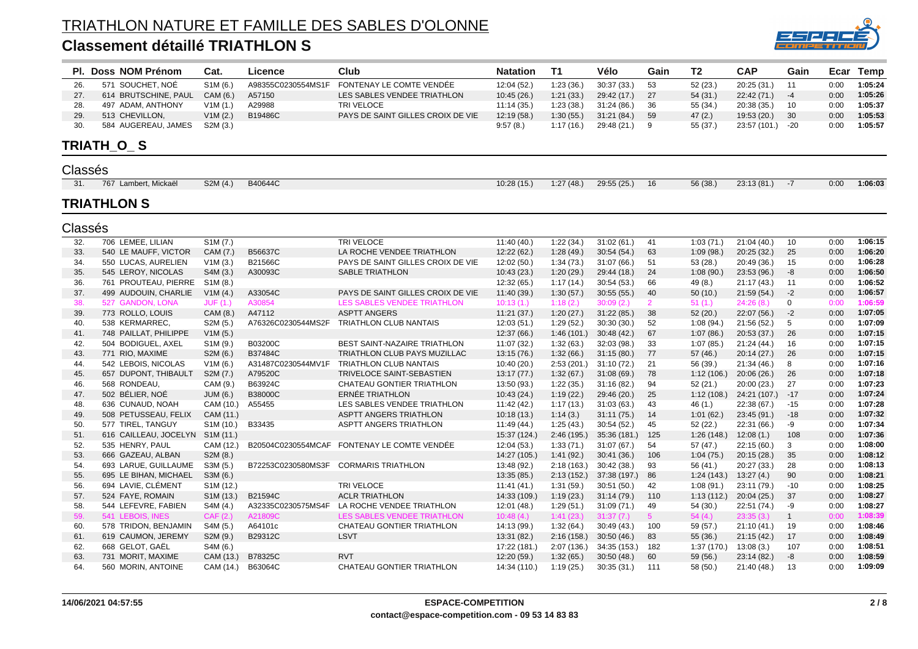

|         | Pl. Doss NOM Prénom   | Cat.                   | Licence            | Club                                        | <b>Natation</b> | T <sub>1</sub> | Vélo         | Gain           | T2         | <b>CAP</b>       | Gain         | Ecar | <b>Temp</b> |
|---------|-----------------------|------------------------|--------------------|---------------------------------------------|-----------------|----------------|--------------|----------------|------------|------------------|--------------|------|-------------|
| 26.     | 571 SOUCHET, NOÉ      | S <sub>1</sub> M (6.)  | A98355C0230554MS1F | FONTENAY LE COMTE VENDÉE                    | 12:04 (52.)     | 1:23(36)       | 30:37(33)    | 53             | 52 (23.)   | 20:25 (31.)      | 11           | 0:00 | 1:05:24     |
| 27.     | 614 BRUTSCHINE, PAUL  | CAM (6.)               | A57150             | LES SABLES VENDEE TRIATHLON                 | 10:45(26.)      | 1:21(33)       | 29:42 (17.)  | 27             | 54(31.)    | 22:42 (71.)      | $-4$         | 0:00 | 1:05:26     |
| 28.     | 497 ADAM, ANTHONY     | V1M(1.)                | A29988             | TRI VELOCE                                  | 11:14(35)       | 1:23(38.)      | 31:24(86.)   | 36             | 55 (34.)   | 20:38 (35.)      | 10           | 0:00 | 1:05:37     |
| 29.     | 513 CHEVILLON,        | V1M(2.)                | B19486C            | PAYS DE SAINT GILLES CROIX DE VIE           | 12:19(58.)      | 1:30(55)       | 31:21(84)    | 59             | 47(2.)     | 19:53 (20.)      | 30           | 0:00 | 1:05:53     |
| 30.     | 584 AUGEREAU, JAMES   | S2M (3.)               |                    |                                             | 9:57(8.)        | 1:17(16)       | 29:48 (21.)  | 9              | 55 (37.)   | 23:57 (101.) -20 |              | 0:00 | 1:05:57     |
|         | TRIATH_O_S            |                        |                    |                                             |                 |                |              |                |            |                  |              |      |             |
| Classés |                       |                        |                    |                                             |                 |                |              |                |            |                  |              |      |             |
| 31.     | 767 Lambert, Mickaël  | S2M (4.)               | B40644C            |                                             | 10:28 (15.)     | 1:27(48.)      | 29:55 (25.)  | 16             | 56 (38.)   | 23:13 (81.)      | $-7$         | 0:00 | 1:06:03     |
|         |                       |                        |                    |                                             |                 |                |              |                |            |                  |              |      |             |
|         | <b>TRIATHLON S</b>    |                        |                    |                                             |                 |                |              |                |            |                  |              |      |             |
| Classés |                       |                        |                    |                                             |                 |                |              |                |            |                  |              |      |             |
| 32.     | 706 LEMEE, LILIAN     | S <sub>1</sub> M (7.)  |                    | TRI VELOCE                                  | 11:40(40.)      | 1:22(34)       | 31:02(61)    | 41             | 1:03(71.)  | 21:04(40.)       | 10           | 0:00 | 1:06:15     |
| 33.     | 540 LE MAUFF, VICTOR  | CAM (7.)               | B56637C            | LA ROCHE VENDEE TRIATHLON                   | 12:22 (62.)     | 1:28(49)       | 30:54(54)    | 63             | 1:09(98.)  | 20:25(32.)       | 25           | 0:00 | 1:06:20     |
| 34.     | 550 LUCAS, AURELIEN   | V1M(3.)                | B21566C            | PAYS DE SAINT GILLES CROIX DE VIE           | 12:02(50.)      | 1:34(73)       | 31:07(66)    | 51             | 53(28.)    | 20:49 (36.)      | 15           | 0:00 | 1:06:28     |
| 35.     | 545 LEROY, NICOLAS    | S4M (3.)               | A30093C            | <b>SABLE TRIATHLON</b>                      | 10:43(23.)      | 1:20(29.)      | 29:44 (18.)  | 24             | 1:08(90.)  | 23:53 (96.)      | $-8$         | 0:00 | 1:06:50     |
| 36.     | 761 PROUTEAU, PIERRE  | S1M (8.)               |                    |                                             | 12:32 (65.)     | 1:17(14)       | 30:54(53)    | 66             | 49 (8.)    | 21:17 (43.)      | 11           | 0:00 | 1:06:52     |
| 37.     | 499 AUDOUIN, CHARLIE  | V1M(4.)                | A33054C            | PAYS DE SAINT GILLES CROIX DE VIE           | 11:40 (39.)     | 1:30(57.)      | 30:55(55)    | 40             | 50(10.)    | 21:59(54.)       | $-2$         | 0:00 | 1:06:57     |
| 38.     | 527 GANDON, LONA      | <b>JUF (1.)</b>        | A30854             | LES SABLES VENDEE TRIATHLON                 | 10:13(1.)       | 1:18(2.)       | 30:09(2.)    | $\overline{2}$ | 51(1.)     | 24:26(8.)        | $\mathbf 0$  | 0:00 | 1:06:59     |
| 39.     | 773 ROLLO, LOUIS      | CAM (8.)               | A47112             | <b>ASPTT ANGERS</b>                         | 11:21(37.)      | 1:20(27.)      | 31:22(85.)   | 38             | 52(20.)    | 22:07 (56.)      | $-2$         | 0:00 | 1:07:05     |
| 40.     | 538 KERMARREC,        | S2M (5.)               | A76326C0230544MS2F | TRIATHLON CLUB NANTAIS                      | 12:03(51.)      | 1:29(52)       | 30:30(30.)   | 52             | 1:08(94.)  | 21:56(52.)       | 5            | 0:00 | 1:07:09     |
| 41.     | 748 PAILLAT, PHILIPPE | V1M(5.)                |                    |                                             | 12:37(66.)      | 1:46(101.)     | 30:48(42)    | 67             | 1:07(86.)  | 20:53 (37.)      | 26           | 0:00 | 1:07:15     |
| 42.     | 504 BODIGUEL, AXEL    | S <sub>1</sub> M (9.)  | B03200C            | BEST SAINT-NAZAIRE TRIATHLON                | 11:07 (32.)     | 1:32(63)       | 32:03 (98.)  | 33             | 1:07(85.)  | 21:24 (44.)      | 16           | 0:00 | 1:07:15     |
| 43.     | 771 RIO, MAXIME       | S2M (6.)               | B37484C            | TRIATHLON CLUB PAYS MUZILLAC                | 13:15 (76.)     | 1:32(66.)      | 31:15(80.)   | 77             | 57 (46.)   | 20:14(27.)       | 26           | 0:00 | 1:07:15     |
| 44.     | 542 LEBOIS, NICOLAS   | V1M(6.)                | A31487C0230544MV1F | TRIATHLON CLUB NANTAIS                      | 10:40 (20.)     | 2:53(201.)     | 31:10 (72.)  | 21             | 56 (39.)   | 21:34 (46.)      | 8            | 0:00 | 1:07:16     |
| 45.     | 657 DUPONT, THIBAULT  | S2M (7.)               | A79520C            | TRIVELOCE SAINT-SEBASTIEN                   | 13:17(77.)      | 1:32(67)       | 31:08(69)    | 78             | 1:12(106.) | 20:06 (26.)      | 26           | 0:00 | 1:07:18     |
| 46.     | 568 RONDEAU,          | CAM (9.)               | B63924C            | CHATEAU GONTIER TRIATHLON                   | 13:50 (93.)     | 1:22(35.)      | 31:16(82)    | 94             | 52(21.)    | 20:00 (23.)      | 27           | 0:00 | 1:07:23     |
| 47.     | 502 BÉLIER, NOÉ       | JUM (6.)               | B38000C            | ERNÉE TRIATHLON                             | 10:43 (24.)     | 1:19(22)       | 29:46 (20.)  | 25             | 1:12(108.) | 24:21 (107.) -17 |              | 0:00 | 1:07:24     |
| 48.     | 636 CUNAUD, NOAH      | CAM (10.)              | A55455             | LES SABLES VENDEE TRIATHLON                 | 11:42 (42.)     | 1:17(13)       | 31:03(63)    | 43             | 46(1.)     | 22:38 (67.)      | $-15$        | 0:00 | 1:07:28     |
| 49.     | 508 PETUSSEAU, FELIX  | CAM (11.)              |                    | ASPTT ANGERS TRIATHLON                      | 10:18(13)       | 1:14(3.)       | 31:11(75)    | 14             | 1:01(62)   | 23:45(91.)       | $-18$        | 0:00 | 1:07:32     |
| 50.     | 577 TIREL, TANGUY     | S <sub>1</sub> M (10.) | B33435             | ASPTT ANGERS TRIATHLON                      | 11:49 (44.)     | 1:25(43)       | 30:54(52)    | 45             | 52 (22.)   | 22:31 (66.)      | -9           | 0:00 | 1:07:34     |
| 51.     | 616 CAILLEAU, JOCELYN | S1M (11.)              |                    |                                             | 15:37 (124.)    | 2:46(195.)     | 35:36 (181.) | 125            | 1:26(148.) | 12:08(1)         | 108          | 0:00 | 1:07:36     |
| 52.     | 535 HENRY, PAUL       | CAM (12.)              |                    | B20504C0230554MCAF FONTENAY LE COMTE VENDÉE | 12:04(53.)      | 1:33(71)       | 31:07(67)    | 54             | 57 (47.)   | 22:15 (60.)      | 3            | 0:00 | 1:08:00     |
| 53.     | 666 GAZEAU, ALBAN     | S2M (8.)               |                    |                                             | 14:27 (105.)    | 1:41(92.)      | 30:41(36.)   | 106            | 1:04(75.)  | 20:15(28.)       | 35           | 0:00 | 1:08:12     |
| 54.     | 693 LARUE, GUILLAUME  | S3M (5.)               |                    | B72253C0230580MS3F CORMARIS TRIATHLON       | 13:48 (92.)     | 2:18(163.)     | 30:42(38.)   | 93             | 56 (41.)   | 20:27 (33.)      | 28           | 0:00 | 1:08:13     |
| 55.     | 695 LE BIHAN, MICHAEL | S3M (6.)               |                    |                                             | 13:35 (85.)     | 2:13(152.)     | 37:38 (197.) | 86             | 1:24(143.) | 13:27(4)         | 90           | 0:00 | 1:08:21     |
| 56.     | 694 LAVIE, CLÉMENT    | S <sub>1</sub> M (12.) |                    | TRI VELOCE                                  | 11:41(41.)      | 1:31(59.)      | 30:51(50.)   | 42             | 1:08(91.)  | 23:11 (79.)      | $-10$        | 0:00 | 1:08:25     |
| 57.     | 524 FAYE, ROMAIN      | S <sub>1</sub> M (13.) | B21594C            | <b>ACLR TRIATHLON</b>                       | 14:33 (109.)    | 1:19(23)       | 31:14(79)    | 110            | 1:13(112.) | 20:04(25.)       | 37           | 0:00 | 1:08:27     |
| 58.     | 544 LEFEVRE, FABIEN   | S4M (4.)               | A32335C0230575MS4F | LA ROCHE VENDEE TRIATHLON                   | 12:01 (48.)     | 1:29(51.)      | 31:09(71)    | 49             | 54 (30.)   | 22:51 (74.)      | -9           | 0:00 | 1:08:27     |
| 59.     | 541 LEBOIS, INES      | CAF (2.)               | A21809C            | LES SABLES VENDEE TRIATHLON                 | 10:48(4)        | 1:41(23.)      | 31:37(7)     | 5 <sup>5</sup> | 54(4.)     | 23:35(3)         | $\mathbf{1}$ | 0:00 | 1:08:39     |
| 60.     | 578 TRIDON, BENJAMIN  | S4M (5.)               | A64101c            | CHATEAU GONTIER TRIATHLON                   | 14:13 (99.)     | 1:32(64)       | 30:49(43)    | 100            | 59 (57.)   | 21:10(41.)       | 19           | 0:00 | 1:08:46     |
| 61.     | 619 CAUMON, JEREMY    | S2M (9.)               | B29312C            | <b>LSVT</b>                                 | 13:31 (82.)     | 2:16(158.)     | 30:50(46.)   | 83             | 55(36.)    | 21:15(42.)       | 17           | 0:00 | 1:08:49     |
| 62.     | 668 GELOT, GAËL       | S4M (6.)               |                    |                                             | 17:22 (181.)    | 2:07(136.)     | 34:35 (153.) | 182            | 1:37(170.) | 13:08(3)         | 107          | 0:00 | 1:08:51     |
| 63.     | 731 MORIT, MAXIME     | CAM (13.)              | B78325C            | <b>RVT</b>                                  | 12:20 (59.)     | 1:32(65)       | 30:50(48)    | 60             | 59 (56.)   | 23:14 (82.)      | -8           | 0:00 | 1:08:59     |
| 64.     | 560 MORIN, ANTOINE    | CAM (14.)              | B63064C            | CHATEAU GONTIER TRIATHLON                   | 14:34 (110.)    | 1:19(25)       | 30:35(31)    | 111            | 58 (50.)   | 21:40 (48.)      | 13           | 0:00 | 1:09:09     |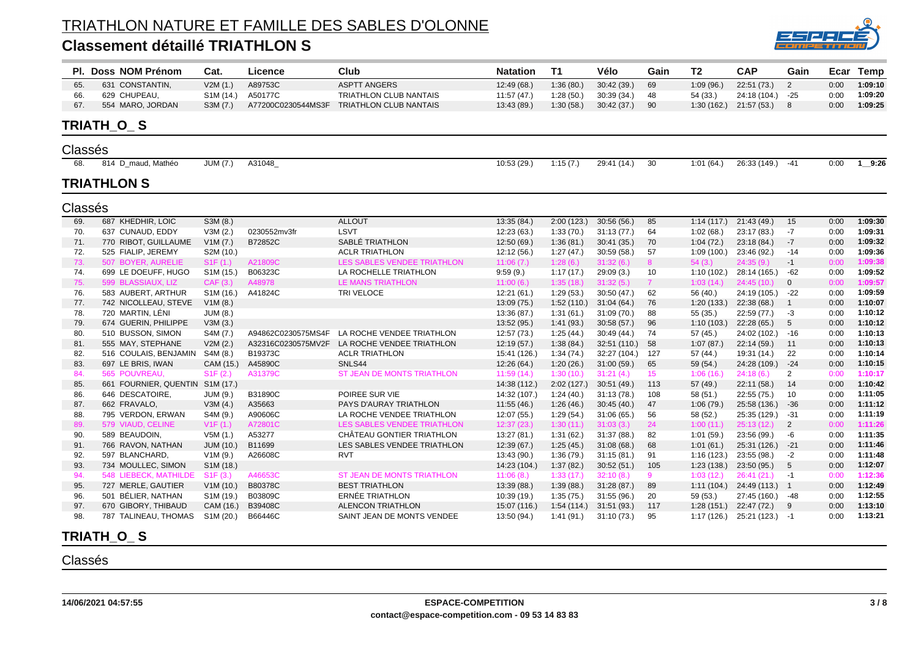#### **Classement détaillé TRIATHLON S**



|         | PI. Doss NOM Prénom   | Cat.                   | Licence      | Club                                         | <b>Natation</b> | <b>T1</b>  | Vélo                    | Gain            | T <sub>2</sub> | <b>CAP</b>                | Gain            | Ecar | <b>Temp</b> |
|---------|-----------------------|------------------------|--------------|----------------------------------------------|-----------------|------------|-------------------------|-----------------|----------------|---------------------------|-----------------|------|-------------|
| 65.     | 631 CONSTANTIN,       | V2M(1.)                | A89753C      | <b>ASPTT ANGERS</b>                          | 12:49 (68.)     | 1:36(80.)  | 30:42 (39.)             | 69              | 1:09(96.)      | 22:51 (73.)               | 2               | 0:00 | 1:09:10     |
| 66.     | 629 CHUPEAU,          | S <sub>1</sub> M (14.) | A50177C      | <b>TRIATHLON CLUB NANTAIS</b>                | 11:57(47)       | 1:28(50.)  | 30:39 (34.)             | 48              | 54 (33.)       | 24:18 (104.) -25          |                 | 0:00 | 1:09:20     |
| 67.     | 554 MARO, JORDAN      | S3M (7.)               |              | A77200C0230544MS3F TRIATHLON CLUB NANTAIS    | 13:43 (89.)     | 1:30(58.)  | 30:42(37)               | 90              |                | $1:30(162.)$ $21:57(53.)$ | 8               | 0:00 | 1:09:25     |
|         | TRIATH O S            |                        |              |                                              |                 |            |                         |                 |                |                           |                 |      |             |
| Classés |                       |                        |              |                                              |                 |            |                         |                 |                |                           |                 |      |             |
| 68.     | 814 D maud, Mathéo    | <b>JUM (7.)</b>        | A31048       |                                              | 10:53 (29.)     | 1:15(7.)   | 29:41 (14.)             | 30              | 1:01(64)       | 26:33 (149.)              | $-41$           | 0:00 | $1$ 9:26    |
|         | TRIATHLON S           |                        |              |                                              |                 |            |                         |                 |                |                           |                 |      |             |
| Classés |                       |                        |              |                                              |                 |            |                         |                 |                |                           |                 |      |             |
| 69.     | 687 KHEDHIR, LOIC     | S3M (8.)               |              | <b>ALLOUT</b>                                | 13:35 (84.)     | 2:00(123.) | 30:56(56)               | 85              | 1:14(117.)     | 21:43 (49.)               | 15              | 0:00 | 1:09:30     |
| 70.     | 637 CUNAUD, EDDY      | V3M(2.)                | 0230552mv3fr | <b>LSVT</b>                                  | 12:23 (63.)     | 1:33(70.)  | 31:13(77)               | 64              | 1:02(68.)      | 23:17 (83.)               | $-7$            | 0:00 | 1:09:31     |
| 71.     | 770 RIBOT, GUILLAUME  | V1M(7.)                | B72852C      | SABLÉ TRIATHLON                              | 12:50 (69.)     | 1:36(81)   | 30:41(35)               | 70              | 1:04(72.)      | 23:18 (84.)               | $-7$            | 0:00 | 1:09:32     |
| 72.     | 525 FIALIP, JEREMY    | S2M (10.)              |              | <b>ACLR TRIATHLON</b>                        | 12:12 (56.)     | 1:27(47.)  | 30:59(58)               | 57              | 1:09(100.)     | 23:46 (92.)               | $-14$           | 0:00 | 1:09:36     |
| 73.     | 507 BOYER, AURELIE    | S1F(1.)                | A21809C      | <b>LES SABLES VENDEE TRIATHLON</b>           | 11:06(7.)       | 1:28(6.)   | 31:32(6.)               | 8               | 54(3.)         | 24:35(9)                  | $-1$            | 0:00 | 1:09:38     |
| 74.     | 699 LE DOEUFF, HUGO   | S1M (15.)              | B06323C      | LA ROCHELLE TRIATHLON                        | 9:59(9.)        | 1:17(17.)  | 29:09(3.)               | 10              | 1:10(102.)     | 28:14 (165.)              | $-62$           | 0:00 | 1:09:52     |
| 75.     | 599 BLASSIAUX, LIZ    | CAF (3.)               | A48978       | <b>LE MANS TRIATHLON</b>                     | 11:00(6.)       | 1:35(18.)  | 31:32(5)                | 7 <sup>7</sup>  | 1:03(14)       | 24:45(10.)                | $\overline{0}$  | 0:00 | 1:09:57     |
| 76.     | 583 AUBERT, ARTHUR    | S1M (16.)              | A41824C      | TRI VELOCE                                   | 12:21(61)       | 1:29(53.)  | 30:50(47.)              | 62              | 56 (40.)       | 24:19 (105.)              | $-22$           | 0:00 | 1:09:59     |
| 77.     | 742 NICOLLEAU, STEVE  | V1M(8.)                |              |                                              | 13:09(75)       | 1:52(110.) | 31:04(64)               | 76              | 1:20(133)      | 22:38 (68.)               | $\overline{1}$  | 0:00 | 1:10:07     |
| 78.     | 720 MARTIN, LÉNI      | <b>JUM (8.)</b>        |              |                                              | 13:36 (87.)     | 1:31(61)   | 31:09(70.)              | 88              | 55 (35.)       | 22:59(77.)                | $-3$            | 0:00 | 1:10:12     |
| 79.     | 674 GUERIN, PHILIPPE  | V3M(3.)                |              |                                              | 13:52 (95.)     | 1:41(93.)  | 30:58(57)               | 96              | 1:10(103.)     | 22:28 (65.)               | $5\phantom{.0}$ | 0:00 | 1:10:12     |
| 80.     | 510 BUSSON, SIMON     | S4M (7.)               |              | A94862C0230575MS4F LA ROCHE VENDEE TRIATHLON | 12:57 (73.)     | 1:25(44.)  | 30:49(44)               | 74              | 57 (45.)       | 24:02 (102.) -16          |                 | 0:00 | 1:10:13     |
| 81.     | 555 MAY, STEPHANE     | V2M(2.)                |              | A32316C0230575MV2F LA ROCHE VENDEE TRIATHLON | 12:19 (57.)     | 1:38(84)   | 32:51 (110.)            | 58              | 1:07(87)       | 22:14(59)                 | 11              | 0:00 | 1:10:13     |
| 82.     | 516 COULAIS, BENJAMIN | S4M (8.)               | B19373C      | <b>ACLR TRIATHLON</b>                        | 15:41 (126.)    | 1:34(74)   | 32:27 (104.)            | 127             | 57 (44.)       | 19:31 (14.)               | 22              | 0:00 | 1:10:14     |
| 83.     | 697 LE BRIS, IWAN     | CAM (15.)              | A45890C      | SNLS44                                       | 12:26 (64.)     | 1:20(26.)  | 31:00(59.)              | 65              | 59 (54.)       | 24:28 (109.)              | $-24$           | 0:00 | 1:10:15     |
| 84.     | 565 POUVREAU,         | S1F(2.)                | A31379C      | ST JEAN DE MONTS TRIATHLON                   | 11:59(14)       | 1:30(10.)  | 31:21(4)                | 15 <sub>1</sub> | 1:06(16.)      | 24:18(6)                  | $\overline{2}$  | 0:00 | 1:10:17     |
| 85.     | 661 FOURNIER, QUENTIN | S <sub>1</sub> M (17.) |              |                                              | 14:38 (112.)    | 2:02(127.) | 30:51 (49.)             | 113             | 57 (49.)       | 22:11(58.)                | 14              | 0:00 | 1:10:42     |
| 86.     | 646 DESCATOIRE,       | JUM (9.)               | B31890C      | POIREE SUR VIE                               | 14:32 (107.)    | 1:24(40.)  | 31:13(78)               | 108             | 58 (51.)       | 22:55 (75.)               | 10              | 0:00 | 1:11:05     |
| 87.     | 662 FRAVALO,          | V3M(4.)                | A35663       | PAYS D'AURAY TRIATHLON                       | 11:55(46.)      | 1:26(46.)  | 30:45(40)               | 47              | 1:06(79.)      | 25:58 (136.) -36          |                 | 0:00 | 1:11:12     |
| 88.     | 795 VERDON, ERWAN     | S4M (9.)               | A90606C      | LA ROCHE VENDEE TRIATHLON                    | 12:07 (55.)     | 1:29(54)   | 31:06(65)               | 56              | 58 (52.)       | 25:35 (129.)              | $-31$           | 0:00 | 1:11:19     |
| 89.     | 579 VIAUD, CELINE     | V1F(1.)                | A72801C      | LES SABLES VENDEE TRIATHLON                  | 12:37(23)       | 1:30(11.)  | 31:03(3)                | 24              | 1:00(11.)      | 25:13(12)                 | 2               | 0:00 | 1:11:26     |
| 90.     | 589 BEAUDOIN.         | V5M(1.)                | A53277       | CHÂTEAU GONTIER TRIATHLON                    | 13:27 (81.)     | 1:31(62)   | 31:37 (88.)             | 82              | 1:01(59.)      | 23:56 (99.)               | -6              | 0:00 | 1:11:35     |
| 91.     | 766 RAVON, NATHAN     | JUM (10.)              | B11699       | LES SABLES VENDEE TRIATHLON                  | 12:39 (67.)     | 1:25(45.)  | 31:08(68)               | 68              | 1:01(61)       | 25:31 (126.) -21          |                 | 0:00 | 1:11:46     |
| 92.     | 597 BLANCHARD,        | V1M(9.)                | A26608C      | <b>RVT</b>                                   | 13:43 (90.)     | 1:36(79.)  | 31:15(81)               | 91              | 1:16 (123.)    | 23:55 (98.)               | $-2$            | 0:00 | 1:11:48     |
| 93.     | 734 MOULLEC, SIMON    | S1M (18.)              |              |                                              | 14:23 (104.)    | 1:37(82)   | 30:52(51)               | 105             | 1:23(138.)     | 23:50 (95.)               | $5\phantom{.0}$ | 0:00 | 1:12:07     |
| 94.     | 548 LIEBECK, MATHILDE | S1F(3.)                | A46653C      | ST JEAN DE MONTS TRIATHLON                   | 11:06(8)        | 1:33(17.)  | 32:10(8)                | 9               | 1:03(12.)      | 26:41(21)                 | $-1$            | 0:00 | 1:12:36     |
| 95.     | 727 MERLE, GAUTIER    | V1M(10.)               | B80378C      | <b>BEST TRIATHLON</b>                        | 13:39 (88.)     | 1:39(88.)  | 31:28(87)               | 89              | 1:11(104.)     | 24:49 (113.) 1            |                 | 0:00 | 1:12:49     |
| 96.     | 501 BÉLIER, NATHAN    | S <sub>1</sub> M (19.) | B03809C      | <b>ERNÉE TRIATHLON</b>                       | 10:39 (19.)     | 1:35(75.)  | 31:55(96.)              | 20              | 59 (53.)       | 27:45 (160.) -48          |                 | 0:00 | 1:12:55     |
| 97.     | 670 GIBORY, THIBAUD   | CAM (16.)              | B39408C      | <b>ALENCON TRIATHLON</b>                     | 15:07 (116.)    |            | $1:54(114)$ $31:51(93)$ | 117             | 1:28(151)      | 22:47 (72.)               | - 9             | 0:00 | 1:13:10     |
| 98.     | 787 TALINEAU, THOMAS  | S1M (20.)              | B66446C      | SAINT JEAN DE MONTS VENDEE                   | 13:50 (94.)     | 1:41(91)   | 31:10(73)               | 95              | 1:17(126.)     | 25:21 (123.) -1           |                 | 0:00 | 1:13:21     |

#### **TRIATH\_O\_ S**

#### Classés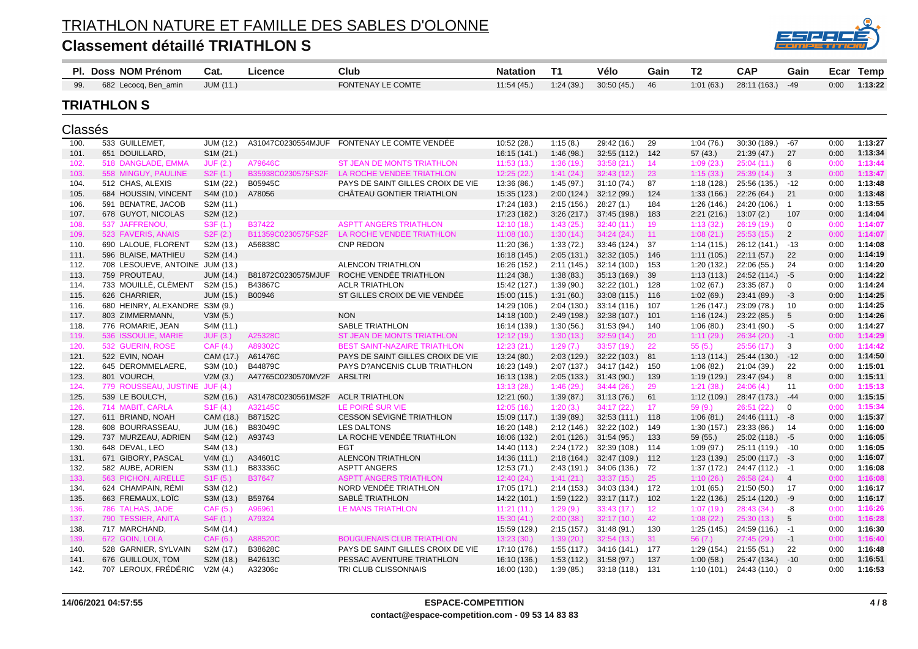

|         | PI. Doss NOM Prénom             | Cat.                   | Licence            | Club                                | <b>Natation</b> | <b>T1</b>  | Vélo         | Gain | <b>T2</b>   | <b>CAP</b>       | Gain           | Ecar | Temp    |
|---------|---------------------------------|------------------------|--------------------|-------------------------------------|-----------------|------------|--------------|------|-------------|------------------|----------------|------|---------|
| 99.     | 682 Lecocq, Ben_amin            | JUM (11.)              |                    | <b>FONTENAY LE COMTE</b>            | 11:54(45.)      | 1:24(39.)  | 30:50(45)    | 46   | 1:01(63)    | 28:11 (163.)     | $-49$          | 0:00 | 1:13:22 |
|         | <b>TRIATHLON S</b>              |                        |                    |                                     |                 |            |              |      |             |                  |                |      |         |
| Classés |                                 |                        |                    |                                     |                 |            |              |      |             |                  |                |      |         |
| 100     | 533 GUILLEMET,                  | <b>JUM (12.</b>        | A31047C0230554MJUF | FONTENAY LE COMTE VENDÉE            | 10:52 (28.)     | 1:15(8.)   | 29:42 (16.)  | 29   | 1:04(76.)   | 30:30 (189.)     | $-67$          | 0:00 | 1:13:27 |
| 101.    | 651 DOUILLARD.                  | S <sub>1</sub> M (21.) |                    |                                     | 16:15 (141.)    | 1:46(98)   | 32:55(112.)  | 142  | 57(43.)     | 21:39(47)        | -27            | 0:00 | 1:13:34 |
| 102.    | 518 DANGLADE, EMMA              | JUF(2.)                | A79646C            | <b>ST JEAN DE MONTS TRIATHLON</b>   | 11:53(13)       | 1:36 (19.) | 33:58(21)    | 14   | 1:09(23)    | 25:04(11.)       | 6              | 0:00 | 1:13:44 |
| 103.    | 558 MINGUY, PAULINE             | S2F(1.)                | B35938C0230575FS2F | LA ROCHE VENDEE TRIATHLON           | 12:25(22.)      | 1:41(24)   | 32:43(12)    | 23   | 1:15(33.)   | 25:39(14.)       | 3              | 0:00 | 1:13:47 |
| 104.    | 512 CHAS, ALEXIS                | S1M (22.)              | B05945C            | PAYS DE SAINT GILLES CROIX DE VIE   | 13:36 (86.)     | 1:45(97.)  | 31:10(74)    | 87   | 1:18(128)   | 25:56 (135.)     | $-12$          | 0:00 | 1:13:48 |
| 105.    | 684 HOUSSIN, VINCENT            | S4M (10.)              | A78056             | CHÂTEAU GONTIER TRIATHLON           | 15:35 (123.)    | 2:00(124.) | 32:12 (99.)  | 124  | 1:33(166.)  | 22:26(64.)       | 21             | 0:00 | 1:13:48 |
| 106.    | 591 BENATRE, JACOB              | S2M (11.)              |                    |                                     | 17:24 (183.)    | 2:15(156.) | 28:27(1)     | 184  | 1:26(146)   | 24:20 (106.)     | $\overline{1}$ | 0:00 | 1:13:55 |
| 107.    | 678 GUYOT, NICOLAS              | S2M (12.)              |                    |                                     | 17:23 (182.)    | 3:26(217)  | 37:45 (198.) | 183  | 2:21(216.)  | 13:07(2.)        | 107            | 0:00 | 1:14:04 |
| 108.    | 537 JAFFRENOU,                  | S3F(1.)                | B37422             | <b>ASPTT ANGERS TRIATHLON</b>       | 12:10(18.)      | 1:43(25.)  | 32:40(11)    | 19   | 1:13(32)    | 26:19(19)        | $\mathbf 0$    | 0:00 | 1:14:07 |
| 109.    | 523 FAVERIS, ANAIS              | S2F(2.)                | B11359C0230575FS2F | LA ROCHE VENDEE TRIATHLON           | 11:08(10.)      | 1:30(14)   | 34:24(24)    | 11   | 1:08(21.)   | 25:53(15.)       | $\overline{2}$ | 0:00 | 1:14:07 |
| 110.    | 690 LALOUE, FLORENT             | S2M (13.)              | A56838C            | <b>CNP REDON</b>                    | 11:20(36.)      | 1:33(72)   | 33:46 (124.) | -37  | 1:14(115.)  | 26:12 (141.)     | $-13$          | 0:00 | 1:14:08 |
| 111.    | 596 BLAISE, MATHIEU             | S2M (14.)              |                    |                                     | 16:18 (145.)    | 2:05(131.) | 32:32(105.)  | 146  | 1:11(105)   | 22:11(57)        | 22             | 0:00 | 1:14:19 |
| 112.    | 708 LESOUEVE, ANTOINE JUM (13.) |                        |                    | <b>ALENCON TRIATHLON</b>            | 16:26 (152.)    | 2:11(145.) | 32:14 (100.) | 153  | 1:20 (132.) | 22:06 (55.)      | 24             | 0:00 | 1:14:20 |
| 113.    | 759 PROUTEAU,                   | JUM (14.)              | B81872C0230575MJUF | ROCHE VENDÉE TRIATHLON              | 11:24(38.)      | 1:38(83)   | 35:13 (169.) | -39  | 1:13(113.)  | 24:52 (114.) - 5 |                | 0:00 | 1:14:22 |
| 114.    | 733 MOUILLÉ, CLÉMENT            | S2M (15.)              | B43867C            | <b>ACLR TRIATHLON</b>               | 15:42 (127.)    | 1:39(90.)  | 32:22 (101.) | 128  | 1:02(67.)   | 23:35 (87.)      | 0              | 0:00 | 1:14:24 |
| 115.    | 626 CHARRIER,                   | JUM (15.)              | B00946             | ST GILLES CROIX DE VIE VENDÉE       | 15:00 (115.)    | 1:31(60)   | 33:08 (115.) | 116  | 1:02(69.)   | 23:41 (89.)      | -3             | 0:00 | 1:14:25 |
| 116.    | 680 HEINRY, ALEXANDRE S3M (9.)  |                        |                    |                                     | 14:29 (106.)    | 2:04(130.) | 33:14(116.)  | 107  | 1:26(147)   | 23:09 (78.)      | 10             | 0:00 | 1:14:25 |
| 117.    | 803 ZIMMERMANN,                 | V3M(5.)                |                    | <b>NON</b>                          | 14:18 (100.)    | 2:49(198.) | 32:38 (107.) | 101  | 1:16(124)   | 23:22 (85.)      | 5              | 0:00 | 1:14:26 |
| 118.    | 776 ROMARIE, JEAN               | S4M (11.)              |                    | <b>SABLE TRIATHLON</b>              | 16:14 (139.)    | 1:30(56)   | 31:53(94)    | 140  | 1:06(80.)   | 23:41 (90.)      | -5             | 0:00 | 1:14:27 |
| 119.    | 536 ISSOULIE, MARIE             | JUF(3.)                | A25328C            | <b>ST JEAN DE MONTS TRIATHLON</b>   | 12:12(19.)      | 1:30(13)   | 32:59(14)    | 20   | 1:11(29.)   | 26:34(20.)       | -1             | 0:00 | 1:14:29 |
| 120.    | 532 GUERIN, ROSE                | CAF(4.)                | A89302C            | <b>BEST SAINT-NAZAIRE TRIATHLON</b> | 12:23(21)       | 1:29 (7.)  | 33:57 (19.)  | 22   | 55(5.)      | 25:56(17.)       | 3              | 0:00 | 1:14:42 |

| 119. | 536 ISSOULIE, MARIE   | JUF(3.)   | A25328C            | ST JEAN DE MONTS TRIATHLON        | 12:12 (19.)  | 1:30(13)   | 32:59(14)    | -20  | 1:11(29.)   | 26:34(20.)       | $-1$  | 0:00 | 1:14:29 |
|------|-----------------------|-----------|--------------------|-----------------------------------|--------------|------------|--------------|------|-------------|------------------|-------|------|---------|
| 120. | 532 GUERIN, ROSE      | CAF(4.)   | A89302C            | BEST SAINT-NAZAIRE TRIATHLON      | 12:23(21.)   | 1:29(7.)   | 33:57(19)    | 22   | 55(5.)      | 25:56(17.)       | 3     | 0:00 | 1:14:42 |
| 121. | 522 EVIN, NOAH        | CAM (17.) | A61476C            | PAYS DE SAINT GILLES CROIX DE VIE | 13:24(80.)   | 2:03(129.) | 32:22 (103.) | -81  | 1:13(114)   | 25:44 (130.)     | $-12$ | 0:00 | 1:14:50 |
| 122. | 645 DEROMMELAERE,     | S3M (10.) | B44879C            | PAYS D?ANCENIS CLUB TRIATHLON     | 16:23 (149.) | 2:07(137.) | 34:17 (142.) | 150  | 1:06(82.)   | 21:04 (39.)      | 22    | 0:00 | 1:15:01 |
| 123. | 801 VOURCH,           | V2M(3.)   | A47765C0230570MV2F | ARSLTRI                           | 16:13 (138.) | 2:05(133.) | 31:43(90.)   | 139  | 1:19(129.)  | 23:47 (94.)      | 8     | 0:00 | 1:15:11 |
| 124. | 779 ROUSSEAU, JUSTINE | JUF(4.)   |                    |                                   | 13:13(28.)   | 1:46(29)   | 34:44(26)    | 29   | 1:21(38)    | 24:06(4)         | 11    | 0:00 | 1:15:13 |
| 125. | 539 LE BOULC'H,       | S2M (16.) | A31478C0230561MS2F | <b>ACLR TRIATHLON</b>             | 12:21(60.)   | 1:39(87)   | 31:13(76)    | -61  | 1:12(109.)  | 28:47 (173.)     | -44   | 0:00 | 1:15:15 |
| 126. | 714 MABIT, CARLA      | S1F(4)    | A32145C            | LE POIRE SUR VIE                  | 12:05(16.)   | 1:20(3.)   | 34:17(22)    | 17   | 59(9.)      | 26:51(22)        | - 0   | 0:00 | 1:15:34 |
| 127. | 611 BRIAND, NOAH      | CAM (18.) | B87152C            | CESSON SÉVIGNÉ TRIATHLON          | 15:09 (117.) | 1:39(89)   | 32:53(111)   | 118  | 1:06(81)    | $24:46(111) -8$  |       | 0:00 | 1:15:37 |
| 128. | 608 BOURRASSEAU,      | JUM (16.) | B83049C            | LES DALTONS                       | 16:20 (148.) | 2:12(146.) | 32:22 (102.) | 149  | 1:30(157.)  | 23:33 (86.)      | -14   | 0:00 | 1:16:00 |
| 129. | 737 MURZEAU, ADRIEN   | S4M (12.) | A93743             | LA ROCHE VENDÉE TRIATHLON         | 16:06 (132.) | 2:01(126.) | 31:54(95)    | 133  | 59 (55.)    | $25:02(118.) -5$ |       | 0:00 | 1:16:05 |
| 130. | 648 DEVAL, LEO        | S4M (13.) |                    | <b>EGT</b>                        | 14:40 (113.) | 2:24(172.) | 32:39 (108.) | -114 | 1:09(97.)   | 25:11 (119.)     | -10   | 0:00 | 1:16:05 |
| 131. | 671 GIBORY, PASCAL    | V4M(1.)   | A34601C            | <b>ALENCON TRIATHLON</b>          | 14:36 (111.) | 2:18(164)  | 32:47 (109.) | 112  | 1:23(139)   | $25:00(117.) -3$ |       | 0:00 | 1:16:07 |
| 132. | 582 AUBE, ADRIEN      | S3M (11.) | B83336C            | <b>ASPTT ANGERS</b>               | 12:53(71)    | 2:43(191)  | 34:06 (136.) | -72  | 1:37(172)   | $24:47(112) -1$  |       | 0:00 | 1:16:08 |
| 133. | 563 PICHON, AIRELLE   | S1F(5.)   | B37647             | <b>ASPTT ANGERS TRIATHLON</b>     | 12:40 (24.)  | 1:41(21)   | 33:37(15)    | -25  | 1:10(26.)   | 26:58(24)        | 4     | 0:00 | 1:16:08 |
| 134. | 624 CHAMPAIN, RÉMI    | S3M (12.) |                    | NORD VENDÉE TRIATHLON             | 17:05 (171.) | 2:14(153)  | 34:03 (134.) | 172  | 1:01(65.)   | 21:50(50.)       | 17    | 0:00 | 1:16:17 |
| 135. | 663 FREMAUX, LOIC     | S3M (13.) | B59764             | SABLÉ TRIATHLON                   | 14:22 (101.) | 1:59(122.) | 33:17 (117.) | 102  | 1:22(136.)  | 25:14 (120.)     | -9    | 0:00 | 1:16:17 |
| 136. | 786 TALHAS, JADE      | CAF(5.)   | A96961             | LE MANS TRIATHLON                 | 11:21(11)    | 1:29(9.)   | 33:43(17)    | 12   | 1:07(19)    | 28:43(34)        | -8    | 0:00 | 1:16:26 |
| 137. | 790 TESSIER, ANITA    | S4F(1.)   | A79324             |                                   | 15:30(41)    | 2:00(38)   | 32:17(10)    | -42  | 1:08(22.)   | 25:30(13)        | 5     | 0:00 | 1:16:28 |
| 138. | 717 MARCHAND,         | S4M (14.) |                    |                                   | 15:59 (129.) | 2:15(157)  | 31:48 (91.)  | 130  | 1:25(145)   | 24:59 (116.)     | -1    | 0:00 | 1:16:30 |
| 139. | 672 GOIN, LOLA        | CAF(6.)   | A88520C            | <b>BOUGUENAIS CLUB TRIATHLON</b>  | 13:23(30.)   | 1:39(20.)  | 32:54(13)    | -31  | 56(7.)      | 27:45 (29.)      | $-1$  | 0:00 | 1:16:40 |
| 140. | 528 GARNIER, SYLVAIN  | S2M (17.) | B38628C            | PAYS DE SAINT GILLES CROIX DE VIE | 17:10 (176.) | 1:55(117.) | 34:16 (141.) | -177 | 1:29 (154.) | 21:55(51)        | -22   | 0:00 | 1:16:48 |
| 141. | 676 GUILLOUX, TOM     | S2M (18.) | B42613C            | PESSAC AVENTURE TRIATHLON         | 16:10 (136.) | 1:53(112.) | 31:58(97)    | 137  | 1:00(58.)   | 25:47 (134.)     | $-10$ | 0:00 | 1:16:51 |
| 142. | 707 LEROUX, FRÉDÉRIC  | V2M (4.)  | A32306c            | TRI CLUB CLISSONNAIS              | 16:00 (130.) | 1:39(85)   | 33:18(118)   | 131  | 1:10 (101.) | $24:43(110.)$ 0  |       | 0:00 | 1:16:53 |
|      |                       |           |                    |                                   |              |            |              |      |             |                  |       |      |         |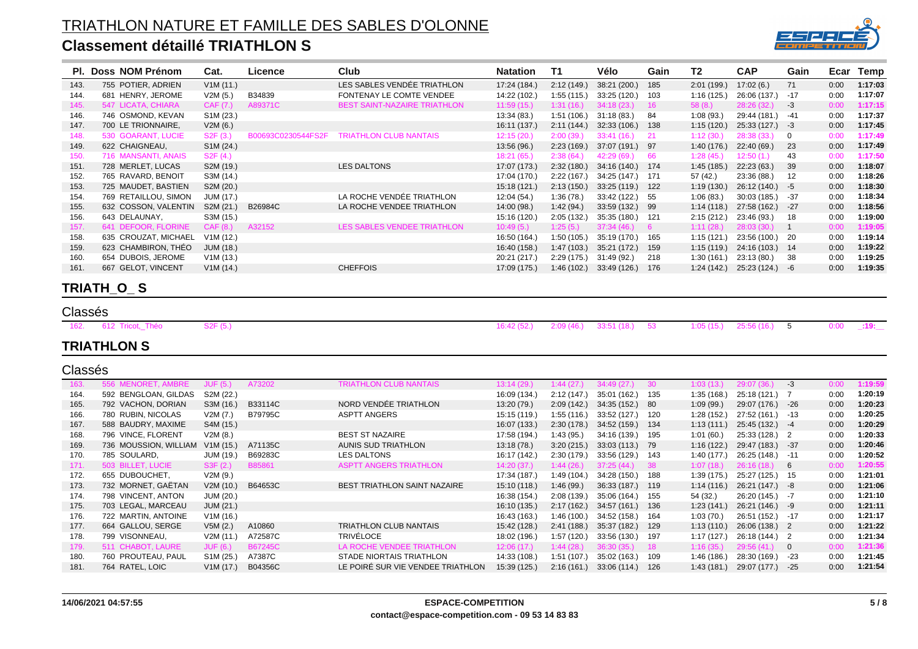#### TRIATHLON NATURE ET FAMILLE DES SABLES D'OLONNE **Classement détaillé TRIATHLON S**



|      | PI. Doss NOM Prénom  | Cat.                   | Licence            | Club                                | <b>Natation</b> | Т1         | Vélo             | Gain  | T2          | <b>CAP</b>      | Gain         | Ecar | Temp    |
|------|----------------------|------------------------|--------------------|-------------------------------------|-----------------|------------|------------------|-------|-------------|-----------------|--------------|------|---------|
| 143. | 755 POTIER, ADRIEN   | V1M(11.)               |                    | LES SABLES VENDÉE TRIATHLON         | 17:24 (184.)    | 2:12(149.) | 38:21 (200.)     | 185   | 2:01(199.)  | 17:02(6.)       | 71           | 0:00 | 1:17:03 |
| 144. | 681 HENRY, JEROME    | V2M(5.)                | B34839             | FONTENAY LE COMTE VENDEE            | 14:22 (102.)    | 1:55(115.) | 33:25 (120.)     | 103   | 1:16 (125.) | 26:06 (137.)    | -17          | 0:00 | 1:17:07 |
| 145. | 547 LICATA, CHIARA   | CAF (7.)               | A89371C            | <b>BEST SAINT-NAZAIRE TRIATHLON</b> | 11:59(15)       | 1:31(16.)  | 34:18(23)        | 16    | 58(8.)      | 28:26 (32.)     | -3           | 0:00 | 1:17:15 |
| 146. | 746 OSMOND, KEVAN    | S <sub>1</sub> M (23.) |                    |                                     | 13:34(83)       | 1:51(106.) | 31:18(83)        | 84    | 1:08(93.)   | 29:44 (181.)    | -41          | 0:00 | 1:17:37 |
| 147. | 700 LE TRIONNAIRE,   | V2M(6.)                |                    |                                     | 16:11 (137.)    | 2:11(144)  | 32:33(106.)      | 138   | 1:15(120.)  | $25:33(127) -3$ |              | 0:00 | 1:17:45 |
| 148. | 530 GOARANT, LUCIE   | S2F(3.)                | B00693C0230544FS2F | TRIATHLON CLUB NANTAIS              | 12:15(20.)      | 2:00(39)   | 33:41(16)        | - 21  | 1:12(30.)   | 28:38 (33.)     | $\mathbf{0}$ | 0:00 | 1:17:49 |
| 149. | 622 CHAIGNEAU,       | S <sub>1</sub> M (24.) |                    |                                     | 13:56 (96.)     | 2:23(169.) | 37:07 (191.)     | - 97  | 1:40(176.)  | 22:40(69)       | 23           | 0:00 | 1:17:49 |
| 150. | 716 MANSANTI, ANAIS  | S2F(4.)                |                    |                                     | 18:21(65)       | 2:38(64)   | 42:29 (69.)      | - 66  | 1:28(45.)   | 12:50 (1.)      | 43           | 0:00 | 1:17:50 |
| 151. | 728 MERLET, LUCAS    | S2M (19.)              |                    | LES DALTONS                         | 17:07 (173.)    | 2:32(180.) | 34:16 (140.)     | 174   | 1:45(185)   | 22:23(63)       | 39           | 0:00 | 1:18:07 |
| 152. | 765 RAVARD, BENOIT   | S3M (14.)              |                    |                                     | 17:04 (170.)    | 2:22(167.) | 34:25 (147.) 171 |       | 57 (42.)    | 23:36 (88.)     | 12           | 0:00 | 1:18:26 |
| 153. | 725 MAUDET, BASTIEN  | S2M (20.)              |                    |                                     | 15:18 (121.)    | 2:13(150.) | 33:25 (119.)     | 122   | 1:19(130.)  | 26:12 (140.)    | -5           | 0:00 | 1:18:30 |
| 154. | 769 RETAILLOU, SIMON | JUM (17.)              |                    | LA ROCHE VENDÉE TRIATHLON           | 12:04 (54.)     | 1:36(78)   | 33:42 (122.)     | - 55  | 1:06(83)    | 30:03(185)      | -37          | 0:00 | 1:18:34 |
| 155. | 632 COSSON, VALENTIN | S2M (21.)              | B26984C            | LA ROCHE VENDEE TRIATHLON           | 14:00 (98.)     | 1:42(94)   | 33:59 (132.)     | - 99  | 1:14(118.)  | 27:58 (162.)    | -27          | 0:00 | 1:18:56 |
| 156. | 643 DELAUNAY,        | S3M (15.)              |                    |                                     | 15:16 (120.)    | 2:05(132.) | 35:35 (180.)     | - 121 | 2:15(212.)  | 23:46 (93.)     | 18           | 0:00 | 1:19:00 |
| 157. | 641 DEFOOR, FLORINE  | CAF (8.)               | A32152             | LES SABLES VENDEE TRIATHLON         | 10:49(5.)       | 1:25(5.)   | 37:34(46.)       | - 6   | 1:11(28)    | 28:03 (30.)     |              | 0:00 | 1:19:05 |
| 158. | 635 CROUZAT, MICHAEL | V1M (12.)              |                    |                                     | 16:50 (164.)    | 1:50(105.) | 35:19 (170.)     | 165   | 1:15(121.)  | 23:56 (100.)    | -20          | 0:00 | 1:19:14 |
| 159. | 623 CHAMBIRON, THEO  | <b>JUM (18.)</b>       |                    |                                     | 16:40 (158.)    | 1:47(103.) | 35:21 (172.)     | 159   | 1:15(119.)  | 24:16 (103.)    | -14          | 0:00 | 1:19:22 |
| 160. | 654 DUBOIS, JEROME   | V1M(13.)               |                    |                                     | 20:21 (217.)    | 2:29(175.) | 31:49 (92.)      | 218   | 1:30(161.)  | 23:13 (80.)     | 38           | 0:00 | 1:19:25 |
| 161. | 667 GELOT, VINCENT   | V1M(14.)               |                    | <b>CHEFFOIS</b>                     | 17:09 (175.)    | 1:46(102.) | 33:49 (126.)     | 176   | 1:24(142)   | $25:23(124) -6$ |              | 0:00 | 1:19:35 |
|      |                      |                        |                    |                                     |                 |            |                  |       |             |                 |              |      |         |

#### **TRIATH\_O\_ S**

| Classés |                       |          |  |                                                                           |  |  |  |
|---------|-----------------------|----------|--|---------------------------------------------------------------------------|--|--|--|
|         | 162. 612 Tricot, Théo | S2F (5.) |  | 16:42 (52.) 2:09 (46.) 33:51 (18.) 53 1:05 (15.) 25:56 (16.) 5 0:00 1:19: |  |  |  |

#### **TRIATHLON S**

| Classés |
|---------|
|         |

| uuuuu |                       |                        |         |                                     |              |             |                 |      |             |                  |                         |      |         |
|-------|-----------------------|------------------------|---------|-------------------------------------|--------------|-------------|-----------------|------|-------------|------------------|-------------------------|------|---------|
| 163.  | 556 MENORET, AMBRE    | JUF (5.)               | A73202  | <b>TRIATHLON CLUB NANTAIS</b>       | 13:14(29)    | 1:44 (27.)  | 34:49(27)       | 30   | 1:03(13)    | 29:07<br>(36.)   | -3                      | 0:00 | 1:19:59 |
| 164.  | 592 BENGLOAN, GILDAS  | S2M (22.)              |         |                                     | 16:09 (134.) | 2:12(147)   | 35:01 (162.)    | 135  | 1:35(168)   | 25:18 (121.) 7   |                         | 0:00 | 1:20:19 |
| 165.  | 792 VACHON, DORIAN    | S3M (16.)              | B33114C | NORD VENDÉE TRIATHLON               | 13:20 (79.)  | 2:09(142)   | 34:35 (152.)    | - 80 | 1:09(99)    | 29:07 (176.)     | -26                     | 0:00 | 1:20:23 |
| 166.  | 780 RUBIN, NICOLAS    | V2M (7.)               | B79795C | <b>ASPTT ANGERS</b>                 | 15:15 (119.) | 1:55 (116.) | 33:52 (127.)    | 120  | 1:28 (152.) | 27:52 (161.) -13 |                         | 0:00 | 1:20:25 |
| 167.  | 588 BAUDRY, MAXIME    | S4M (15.)              |         |                                     | 16:07 (133.) | 2:30(178.)  | 34:52 (159.)    | -134 | 1:13(111)   | 25:45 (132.) -4  |                         | 0:00 | 1:20:29 |
| 168.  | 796 VINCE, FLORENT    | V2M(8.)                |         | <b>BEST ST NAZAIRE</b>              | 17:58 (194.) | 1:43(95)    | 34:16 (139.)    | -195 | 1:01(60.)   | 25:33 (128.) 2   |                         | 0:00 | 1:20:33 |
| 169.  | 736 MOUSSION, WILLIAM | V1M(15.)               | A71135C | AUNIS SUD TRIATHLON                 | 13:18(78.)   | 3:20(215)   | 33:03 (113.) 79 |      | 1:16(122.)  | 29:47 (183.) -37 |                         | 0:00 | 1:20:46 |
| 170.  | 785 SOULARD,          | <b>JUM (19.)</b>       | B69283C | <b>LES DALTONS</b>                  | 16:17 (142.) | 2:30(179)   | 33:56 (129.)    | 143  | 1:40(177)   | 26:25 (148.) -11 |                         | 0:00 | 1:20:52 |
| 171.  | 503 BILLET, LUCIE     | S3F(2.)                | B85861  | <b>ASPTT ANGERS TRIATHLON</b>       | 14:20(37)    | 1:44 (26.)  | 37:25(44)       | -38  | 1:07(18.)   | 26:16(18)        | -6                      | 0:00 | 1:20:55 |
| 172.  | 655 DUBOUCHET.        | V2M(9.)                |         |                                     | 17:34 (187.) | 1:49 (104.) | 34:28 (150.)    | 188  | 1:39(175)   | 25:27 (125.)     | - 15                    | 0:00 | 1:21:01 |
| 173.  | 732 MORNET, GAETAN    | V2M(10.)               | B64653C | <b>BEST TRIATHLON SAINT NAZAIRE</b> | 15:10 (118.) | 1:46 (99.)  | 36:33 (187.)    | -119 | 1:14(116.)  | 26:21 (147.) -8  |                         | 0:00 | 1:21:06 |
| 174.  | 798 VINCENT, ANTON    | JUM (20.)              |         |                                     | 16:38 (154.) | 2:08(139)   | 35:06 (164.)    | -155 | 54 (32.)    | $26:20(145) -7$  |                         | 0:00 | 1:21:10 |
| 175.  | 703 LEGAL, MARCEAU    | <b>JUM (21.)</b>       |         |                                     | 16:10 (135.) | 2:17(162)   | 34:57 (161.)    | 136  | 1:23(141.)  | 26:21 (146.) -9  |                         | 0:00 | 1:21:11 |
| 176.  | 722 MARTIN, ANTOINE   | V1M(16.)               |         |                                     | 16:43 (163.) | 1:46 (100.) | 34:52 (158.)    | 164  | 1:03(70.)   | 26:51 (152.) -17 |                         | 0:00 | 1:21:17 |
| 177.  | 664 GALLOU, SERGE     | V5M(2.)                | A10860  | <b>TRIATHLON CLUB NANTAIS</b>       | 15:42 (128.) | 2:41(188.)  | 35:37 (182.)    | 129  | 1:13(110.)  | 26:06 (138.) 2   |                         | 0:00 | 1:21:22 |
| 178.  | 799 VISONNEAU,        | V2M(11.)               | A72587C | TRIVÉLOCE                           | 18:02 (196.) | 1:57 (120.) | 33:56 (130.)    | 197  | 1:17 (127.) | 26:18 (144.) 2   |                         | 0:00 | 1:21:34 |
| 179.  | 511 CHABOT, LAURE     | JUF(6.)                | B67245C | LA ROCHE VENDEE TRIATHLON           | 12:06(17.)   | 1:44 (28.)  | 36:30(35)       | 18   | 1:16(35.)   | 29:56(41)        | $\overline{\mathbf{0}}$ | 0:00 | 1:21:36 |
| 180.  | 760 PROUTEAU, PAUL    | S <sub>1</sub> M (25.) | A7387C  | STADE NIORTAIS TRIATHLON            | 14:33 (108.) | 1:51(107.)  | 35:02 (163.)    | 109  | 1:46(186)   | 28:30 (169.)     | -23                     | 0:00 | 1:21:45 |
| 181.  | 764 RATEL, LOIC       | V1M(17.)               | B04356C | LE POIRÉ SUR VIE VENDEE TRIATHLON   | 15:39 (125.) | 2:16(161)   | 33:06 (114.)    | 126  | 1:43(181)   | 29:07 (177.)     | $-25$                   | 0:00 | 1:21:54 |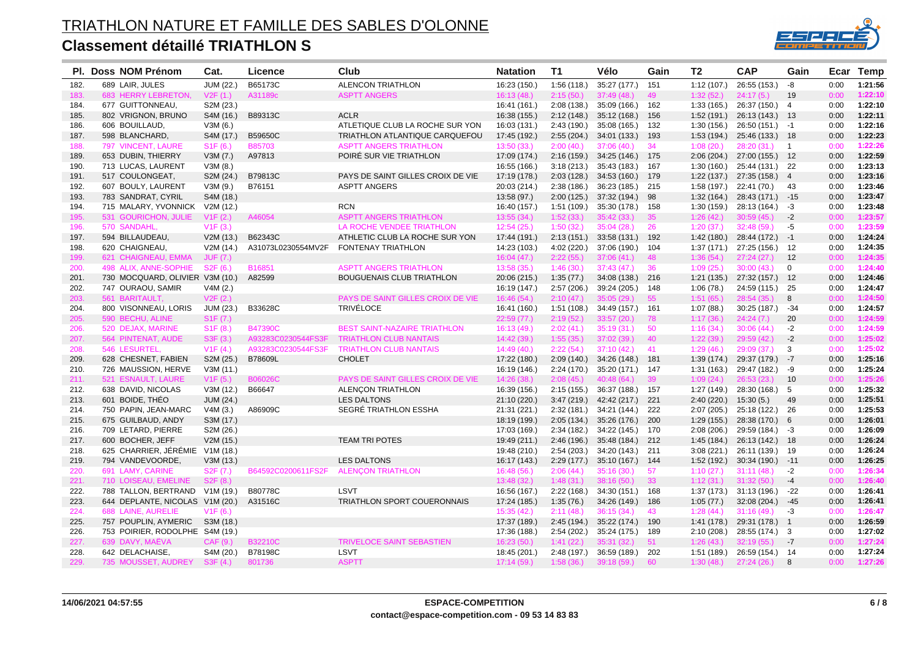

|              | PI. Doss NOM Prénom             | Cat.                  | Licence            | Club                                     | <b>Natation</b>             | T <sub>1</sub>          | Vélo                      | Gain      | T <sub>2</sub>          | <b>CAP</b>                    | Gain           | Ecar | <b>Temp</b> |
|--------------|---------------------------------|-----------------------|--------------------|------------------------------------------|-----------------------------|-------------------------|---------------------------|-----------|-------------------------|-------------------------------|----------------|------|-------------|
| 182.         | 689 LAIR, JULES                 | JUM (22.)             | B65173C            | <b>ALENCON TRIATHLON</b>                 | 16:23 (150.)                | 1:56(118.)              | 35:27 (177.)              | 151       | 1:12(107.)              | 26:55 (153.)                  | -8             | 0:00 | 1:21:56     |
| 183.         | 683 HERRY LEBRETON,             | V2F(1.)               | A31189c            | <b>ASPTT ANGERS</b>                      | 16:13(48)                   | 2:15(50.)               | 37:49(48)                 | 49        | 1:32(52)                | 24:17(5)                      | 19             | 0:00 | 1:22:10     |
| 184.         | 677 GUITTONNEAU,                | S2M (23.)             |                    |                                          | 16:41 (161.)                | 2:08(138.)              | 35:09 (166.)              | 162       | 1:33(165.)              | 26:37 (150.) 4                |                | 0:00 | 1:22:10     |
| 185.         | 802 VRIGNON, BRUNO              | S4M (16.)             | B89313C            | <b>ACLR</b>                              | 16:38 (155.)                | 2:12(148.)              | 35:12 (168.)              | 156       | 1:52(191.)              | 26:13 (143.) 13               |                | 0:00 | 1:22:11     |
| 186.         | 606 BOUILLAUD,                  | V3M(6.)               |                    | ATLETIQUE CLUB LA ROCHE SUR YON          | 16:03 (131.)                | 2:43(190.)              | 35:08 (165.)              | 132       | 1:30(156.)              | $26:50(151.) -1$              |                | 0:00 | 1:22:16     |
| 187.         | 598 BLANCHARD,                  | S4M (17.)             | B59650C            | TRIATHLON ATLANTIQUE CARQUEFOU           | 17:45 (192.)                | 2:55(204.)              | 34:01 (133.)              | 193       | 1:53(194)               | 25:46 (133.) 18               |                | 0:00 | 1:22:23     |
| 188.         | 797 VINCENT, LAURE              | S1F(6.)               | <b>B85703</b>      | <b>ASPTT ANGERS TRIATHLON</b>            | 13:50(33.)                  | 2:00(40)                | 37:06(40.)                | 34        | 1:08(20.)               | 28:20(31)                     | $\overline{1}$ | 0:00 | 1:22:26     |
| 189.         | 653 DUBIN, THIERRY              | V3M(7.)               | A97813             | POIRE SUR VIE TRIATHLON                  | 17:09 (174.)                | 2:16(159.)              | 34:25 (146.)              | 175       | 2:06(204.)              | 27:00 (155.) 12               |                | 0:00 | 1:22:59     |
| 190.         | 713 LUCAS, LAURENT              | V3M(8.)               |                    |                                          | 16:55 (166.)                | 3:18(213)               | 35:43 (183.)              | 167       | 1:30(160.)              | 25:44 (131.) 22               |                | 0:00 | 1:23:13     |
| 191.         | 517 COULONGEAT,                 | S2M (24.)             | B79813C            | PAYS DE SAINT GILLES CROIX DE VIE        | 17:19 (178.)                | 2:03(128.)              | 34:53 (160.)              | 179       | 1:22(137.)              | 27:35 (158.) 4                |                | 0:00 | 1:23:16     |
| 192.         | 607 BOULY, LAURENT              | V3M(9.)               | B76151             | <b>ASPTT ANGERS</b>                      | 20:03 (214.)                | 2:38(186.)              | 36:23 (185.)              | 215       | 1:58(197.)              | 22:41 (70.)                   | 43             | 0:00 | 1:23:46     |
| 193.         | 783 SANDRAT, CYRIL              | S4M (18.)             |                    |                                          | 13:58 (97.)                 | 2:00(125.)              | 37:32 (194.)              | 98        | 1:32(164)               | 28:43 (171.) -15              |                | 0:00 | 1:23:47     |
| 194.         | 715 MALARY, YVONNICK            | V2M (12.)             |                    | <b>RCN</b>                               | 16:40 (157.)                | 1:51(109.)              | 35:30 (178.)              | 158       | 1:30(159.)              | 28:13 (164.)                  | $-3$           | 0:00 | 1:23:48     |
| 195.         | 531 GOURICHON, JULIE            | V1F(2.)               | A46054             | <b>ASPTT ANGERS TRIATHLON</b>            | 13:55 (34.)                 | 1:52(33.)               | 35:42(33)                 | 35        | 1:26(42.)               | 30:59(45)                     | $-2$           | 0:00 | 1:23:57     |
| 196.         | 570 SANDAHL,                    | V1F(3.)               |                    | LA ROCHE VENDEE TRIATHLON                | 12:54(25.)                  | 1:50(32.)               | 35:04(28.)                | 26        | 1:20(37.)               | 32:48(59)                     | $-5$           | 0:00 | 1:23:59     |
| 197.         | 594 BILLAUDEAU,                 | V2M(13.)              | B62343C            | ATHLETIC CLUB LA ROCHE SUR YON           | 17:44 (191.)                | 2:13(151.)              | 33:58(131)                | 192       | 1:42(180.)              | 28:44 (172.) -1               |                | 0:00 | 1:24:24     |
| 198.         | 620 CHAIGNEAU,                  | V2M(14.)              | A31073L0230554MV2F | <b>FONTENAY TRIATHLON</b>                | 14:23 (103.)                | 4:02(220.)              | 37:06 (190.)              | 104       | 1:37(171.)              | 27:25 (156.) 12               |                | 0:00 | 1:24:35     |
| 199.         | 621 CHAIGNEAU, EMMA             | <b>JUF (7.)</b>       |                    |                                          | 16:04(47.)                  | 2:22(55.)               | 37:06(41)                 | 48        | 1:36(54.)               | 27:24(27.)                    | 12             | 0:00 | 1:24:35     |
| 200.         | 498 ALIX, ANNE-SOPHIE           | S2F(6.)               | B16851             | <b>ASPTT ANGERS TRIATHLON</b>            | 13:58(35)                   | 1:46(30.)               | 37:43(47)                 | 36        | 1:09(25.)               | 30:00(43)                     | 0              | 0:00 | 1:24:40     |
| 201.         | 730 MOCQUARD, OLIVIER V3M (10.) |                       | A82599             | <b>BOUGUENAIS CLUB TRIATHLON</b>         | 20:06 (215.)                | 1:35(77.)               | 34:08 (138.)              | 216       | 1:21(135)               | 27:32 (157.) 12               |                | 0:00 | 1:24:46     |
| 202.         | 747 OURAOU, SAMIR               | V4M(2.)               |                    |                                          | 16:19 (147.)                | 2:57(206.)              | 39:24 (205.)              | 148       | 1:06(78.)               | 24:59 (115.) 25               |                | 0:00 | 1:24:47     |
| 203.         | 561 BARITAULT,                  | V2F(2.)               |                    | <b>PAYS DE SAINT GILLES CROIX DE VIE</b> | 16:46 (54.)                 | 2:10(47.)               | 35:05(29.)                | 55        | 1:51(65.)               | 28:54(35)                     | 8              | 0:00 | 1:24:50     |
| 204.         | 800 VISONNEAU, LORIS            | JUM (23.)             | B33628C            | <b>TRIVÉLOCE</b>                         | 16:41 (160.)                | 1:51(108.)              | 34:49 (157.)              | 161       | 1:07(88.)               | 30:25 (187.)                  | -34            | 0:00 | 1:24:57     |
| 205.         | 590 BECHU, ALINE                | S <sub>1</sub> F (7.) |                    |                                          | 22:59(77.)                  | 2:19(52.)               | 33:57 (20.)               | 78        | 1:17(36)                | 24:24(7.)                     | 20             | 0:00 | 1:24:59     |
| 206.         | 520 DEJAX, MARINE               | S1F(8.)               | <b>B47390C</b>     | <b>BEST SAINT-NAZAIRE TRIATHLON</b>      | 16:13 (49.)                 | 2:02(41.)               | 35:19(31)                 | 50        | 1:16(34.)               | 30:06(44)                     | $-2$           | 0:00 | 1:24:59     |
| 207.         | 564 PINTENAT, AUDE              | S3F (3.)              | A93283C0230544FS3F | <b>TRIATHLON CLUB NANTAIS</b>            | 14:42 (39.)                 | 1:55(35)                | 37:02(39)                 | 40        | 1:22(39.)               | 29:59(42.)                    | $-2$           | 0:00 | 1:25:02     |
| 208.         | 546 LESURTEL,                   | V1F(4.)               | A93283C0230544FS3F | <b>TRIATHLON CLUB NANTAIS</b>            | 14:49(40)                   | 2:22(54)                | 37:10(42)                 | 41        | 1:29(46.)               | 29:09(37)                     | 3              | 0:00 | 1:25:02     |
| 209.         | 628 CHESNET, FABIEN             | S2M (25.)             | B78609L            | <b>CHOLET</b>                            | 17:22 (180.)                | 2:09(140.)              | 34:26 (148.)              | 181       | 1:39(174)               | 29:37 (179.) -7               |                | 0:00 | 1:25:16     |
| 210.         | 726 MAUSSION, HERVE             | V3M(11.)              |                    |                                          | 16:19 (146.)                | 2:24(170.)              | 35:20 (171.)              | 147       | 1:31(163)               | 29:47 (182.) -9               |                | 0:00 | 1:25:24     |
| 211.         | 521 ESNAULT, LAURE              | V1F(5.)               | <b>B06026C</b>     | PAYS DE SAINT GILLES CROIX DE VIE        | 14:26 (38.)                 | 2:08(45.)               | 40:48(64)                 | 39        | 1:09(24.)               | 26:53(23)                     | 10             | 0:00 | 1:25:26     |
| 212.         | 638 DAVID, NICOLAS              | V3M(12.)              | B66647             | <b>ALENÇON TRIATHLON</b>                 | 16:39 (156.)                | 2:15(155.)              | 36:37 (188.)              | 157       | 1:27(149.)              | 28:30 (168.) 5                |                | 0:00 | 1:25:32     |
| 213.         | 601 BOIDE, THEO                 | JUM (24.)             |                    | <b>LES DALTONS</b>                       | 21:10 (220.)                | 3:47(219.)              | 42:42 (217.)              | 221       | 2:40(220.)              | 15:30(5)                      | 49             | 0:00 | 1:25:51     |
| 214.         | 750 PAPIN, JEAN-MARC            | V4M(3.)               | A86909C            | SEGRÉ TRIATHLON ESSHA                    | 21:31 (221.)                | 2:32(181.)              | 34:21 (144.)              | 222       | 2:07(205.)              | 25:18 (122.)                  | - 26           | 0:00 | 1:25:53     |
| 215.         | 675 GUILBAUD, ANDY              | S3M (17.)             |                    |                                          | 18:19 (199.)                | 2:05(134.)              | 35:26 (176.)              | 200       | 1:29(155)               | 28:38 (170.) 6                |                | 0:00 | 1:26:01     |
| 216.         | 709 LETARD, PIERRE              | S2M (26.)             |                    |                                          | 17:03 (169.)                | 2:34(182.)              | 34:22 (145.)              | 170       | 2:08(206.)              | $29:59(184.) -3$              |                | 0:00 | 1:26:09     |
| 217.         | 600 BOCHER, JEFF                | V2M(15.)              |                    | TEAM TRI POTES                           | 19:49 (211.)                | 2:46(196.)              | 35:48 (184.)              | 212       | 1:45(184)               | 26:13 (142.) 18               |                | 0:00 | 1:26:24     |
| 218.         | 625 CHARRIER, JÉRÉMIE           | V1M (18.)             |                    |                                          | 19:48 (210.)                | 2:54(203.)              | 34:20 (143.)              | 211       | 3:08(221)               | 26:11 (139.) 19               |                | 0:00 | 1:26:24     |
| 219.         | 794 VANDEVOORDE,                | V3M(13.)              |                    | <b>LES DALTONS</b>                       | 16:17 (143.)                | 2:29(177.)              | 35:10 (167.)              | 144       | 1:52(192.)              | 30:34 (190.) -11              |                | 0:00 | 1:26:25     |
| 220.         | 691 LAMY, CARINE                | S <sub>2</sub> F (7.) | B64592C0200611FS2F | <b>ALENÇON TRIATHLON</b>                 | 16:48 (56.)                 | 2:06(44.)               | 35:16(30)                 | 57        | 1:10(27.)               | 31:11(48.)                    | $-2$           | 0:00 | 1:26:34     |
| 221.         | 710 LOISEAU, EMELINE            | S <sub>2</sub> F (8.) |                    |                                          | 13:48 (32.)                 | 1:48(31.)               | 38:16 (50.)               | 33        | 1:12(31.)               | 31:32(50.)                    | $-4$           | 0:00 | 1:26:40     |
| 222.         | 788 TALLON, BERTRAND            | V1M(19.)              | B80778C            | <b>LSVT</b>                              | 16:56 (167.)                | 2:22(168.)              | 34:30 (151.)              | 168       | 1:37(173)               | 31:13 (196.)                  | $-22$          | 0:00 | 1:26:41     |
| 223.         | 644 DEPLANTE, NICOLAS V1M (20.) |                       | A31516C            | TRIATHLON SPORT COUERONNAIS              | 17:24 (185.)                | 1:35(76.)               | 34:26 (149.)              | 186       | 1:05(77.)               | 32:08 (204.) -45              |                | 0:00 | 1:26:41     |
|              | 688 LAINE, AURELIE              | V1F(6.)               |                    |                                          |                             |                         |                           |           |                         | 31:16(49)                     | $-3$           | 0:00 | 1:26:47     |
| 224.<br>225. | 757 POUPLIN, AYMERIC            | S3M (18.)             |                    |                                          | 15:35(42.)                  | 2:11(48.)<br>2:45(194.) | 36:15(34)<br>35:22 (174.) | 43<br>190 | 1:28(44.)<br>1:41(178.) | 29:31 (178.) 1                |                | 0:00 | 1:26:59     |
|              | 753 POIRIER, RODOLPHE S4M (19.) |                       |                    |                                          | 17:37 (189.)                |                         |                           | 189       |                         |                               |                | 0:00 | 1:27:02     |
| 226.<br>227. | 639 DAVY, MAËVA                 | CAF (9.)              | <b>B32210C</b>     | <b>TRIVELOCE SAINT SEBASTIEN</b>         | 17:36 (188.)<br>16:23 (50.) | 2:54(202.)<br>1:41(22.) | 35:24 (175.)<br>35:31(32) | 51        | 2:10(208.)<br>1:26(43.) | 28:55 (174.) 3<br>32:19(55)   | $-7$           | 0:00 | 1:27:24     |
|              | 642 DELACHAISE,                 |                       | B78198C            | LSVT                                     |                             |                         | 36:59 (189.)              |           |                         |                               |                | 0:00 | 1:27:24     |
| 228.<br>229. | 735 MOUSSET, AUDREY             | S4M (20.)             | 801736             | <b>ASPTT</b>                             | 18:45 (201.)                | 2:48(197.)              | 39:18(59)                 | 202<br>60 | 1:51(189)<br>1:30(48.)  | 26:59 (154.) 14<br>27:24(26.) |                | 0:00 | 1:27:26     |
|              |                                 | S3F(4.)               |                    |                                          | 17:14 (59.)                 | 1:58(36.)               |                           |           |                         |                               | 8              |      |             |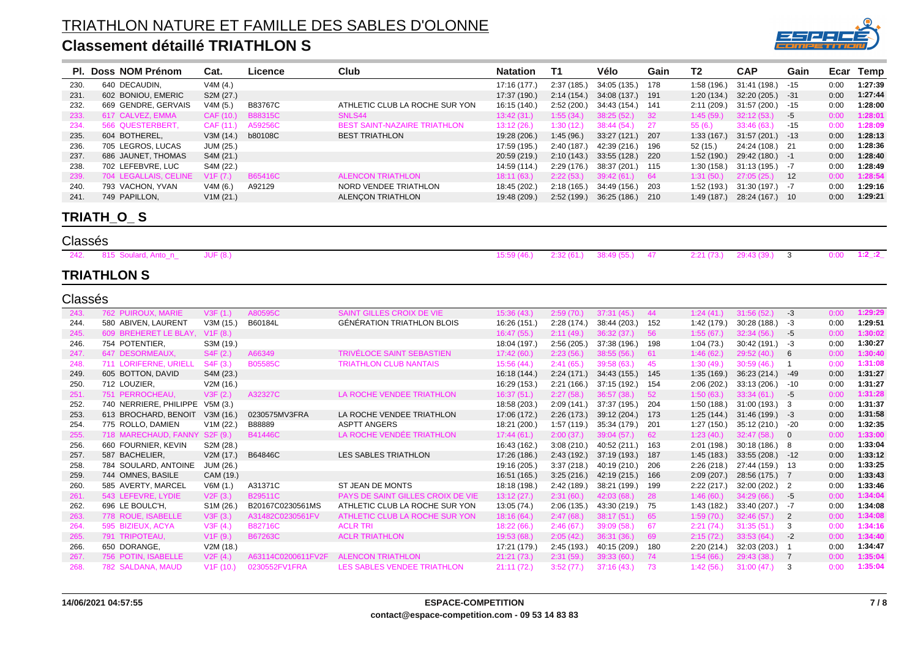

|      | PI. Doss NOM Prénom   | Cat.            | Licence        | Club                                | <b>Natation</b> | T1         | Vélo             | Gain | T2          | <b>CAP</b>       | Gain            |      | Ecar Temp |
|------|-----------------------|-----------------|----------------|-------------------------------------|-----------------|------------|------------------|------|-------------|------------------|-----------------|------|-----------|
| 230. | 640 DECAUDIN,         | V4M(4.)         |                |                                     | 17:16 (177.)    | 2:37(185.) | 34:05 (135.)     | 178  | 1:58(196.)  | 31:41 (198.)     | $-15$           | 0:00 | 1:27:39   |
| 231. | 602 BONIOU, EMERIC    | S2M (27.)       |                |                                     | 17:37 (190.)    | 2:14(154.) | 34:08 (137.)     | 191  | 1:20(134.)  | 32:20 (205.)     | -31             | 0:00 | 1:27:44   |
| 232. | 669 GENDRE, GERVAIS   | V4M(5.)         | B83767C        | ATHLETIC CLUB LA ROCHE SUR YON      | 16:15 (140.)    | 2:52(200.) | 34:43 (154.)     | 141  | 2:11(209.)  | 31:57 (200.)     | -15             | 0:00 | 1:28:00   |
| 233. | 617 CALVEZ, EMMA      | CAF (10.)       | <b>B88315C</b> | SNLS44                              | 13:42(31)       | 1:55(34)   | 38:25(52)        | - 32 | 1:45(59.)   | 32:12(53)        | -5              | 0:00 | 1:28:01   |
| 234. | 566 QUESTERBERT,      | CAF (11.)       | A59256C        | <b>BEST SAINT-NAZAIRE TRIATHLON</b> | 13:12(26.)      | 1:30(12.)  | 38:44(54)        | - 27 | 55(6.)      | 33:46(63)        | $-15$           | 0:00 | 1:28:09   |
| 235. | 604 BOTHEREL,         | V3M(14.)        | b80108C        | <b>BEST TRIATHLON</b>               | 19:28 (206.)    | 1:45(96.)  | 33:27 (121.)     | 207  | 1:33(167.)  | $31:57(201)$ -13 |                 | 0:00 | 1:28:13   |
| 236. | 705 LEGROS, LUCAS     | JUM (25.)       |                |                                     | 17:59 (195.)    | 2:40(187.) | 42:39 (216.)     | 196  | 52 (15.)    | 24:24 (108.) 21  |                 | 0:00 | 1:28:36   |
| 237. | 686 JAUNET, THOMAS    | S4M (21.)       |                |                                     | 20:59 (219.)    | 2:10(143.) | 33:55 (128.)     | 220  | 1:52(190.)  | $29:42(180.) -1$ |                 | 0:00 | 1:28:40   |
| 238. | 702 LEFEBVRE, LUC     | S4M (22.)       |                |                                     | 14:59 (114.)    | 2:29(176.) | 38:37 (201.) 115 |      | 1:30(158.)  | $31:13(195) -7$  |                 | 0:00 | 1:28:49   |
| 239. | 704 LEGALLAIS, CELINE | V1F (7.)        | <b>B65416C</b> | <b>ALENCON TRIATHLON</b>            | 18:11 (63.)     | 2:22(53)   | 39:42(61)        | 64   | 1:31(50.)   | 27:05(25.)       | $\overline{12}$ | 0:00 | 1:28:54   |
| 240. | 793 VACHON, YVAN      | V4M(6.)         | A92129         | NORD VENDEE TRIATHLON               | 18:45 (202.)    | 2:18(165)  | 34:49 (156.)     | -203 | 1:52 (193.) | $31:30(197.)$ -7 |                 | 0:00 | 1:29:16   |
| 241. | 749 PAPILLON,         | V1M (21.)       |                | ALENÇON TRIATHLON                   | 19:48 (209.)    | 2:52(199.) | 36:25 (186.)     | 210  | 1:49(187)   | 28:24 (167.) 10  |                 | 0:00 | 1:29:21   |
|      | TRIATH_O_ S           |                 |                |                                     |                 |            |                  |      |             |                  |                 |      |           |
|      | Classés               |                 |                |                                     |                 |            |                  |      |             |                  |                 |      |           |
| 242. | 815 Soulard, Anto_n_  | <b>JUF (8.)</b> |                |                                     | 15:59 (46.)     | 2:32(61)   | 38:49(55)        | 47   | 2:21(73)    | 29:43 (39.)      | 3               | 0:00 | $1:2$ :2  |
|      | <b>TRIATHLON S</b>    |                 |                |                                     |                 |            |                  |      |             |                  |                 |      |           |
|      | Classés               |                 |                |                                     |                 |            |                  |      |             |                  |                 |      |           |

| 243. | <b>762 PUIROUX, MARIE</b> | V3F (1.)               | A80595C            | SAINT GILLES CROIX DE VIE                | 15:36 (43.)  | 2:59(70.)  | 37:31(45)    | 44   | 1:24(41)   | 31:56(52)       | -3             | 0:00 | 1:29:29 |
|------|---------------------------|------------------------|--------------------|------------------------------------------|--------------|------------|--------------|------|------------|-----------------|----------------|------|---------|
| 244. | 580 ABIVEN, LAURENT       | V3M(15.)               | B60184L            | GÉNÉRATION TRIATHLON BLOIS               | 16:26 (151.) | 2:28(174.) | 38:44 (203.) | 152  | 1:42(179)  | 30:28 (188.)    | -3             | 0:00 | 1:29:51 |
| 245. | 609 BREHERET LE BLAY      | V1F(8.)                |                    |                                          | 16:47 (55.)  | 2:11(49)   | 36:32(37)    | 56   | 1:55(67.)  | 32:34(56)       | -5             | 0:00 | 1:30:02 |
| 246. | 754 POTENTIER.            | S3M (19.)              |                    |                                          | 18:04 (197.) | 2:56(205.) | 37:38 (196.) | 198  | 1:04(73)   | 30:42 (191.)    | -3             | 0:00 | 1:30:27 |
| 247. | 647 DESORMEAUX,           | S4F(2.)                | A66349             | <b>TRIVÉLOCE SAINT SEBASTIEN</b>         | 17:42(60.)   | 2:23(56.)  | 38:55(56)    | -61  | 1:46(62.)  | 29:52(40.)      | -6             | 0:00 | 1:30:40 |
| 248. | 711 LORIFERNE, URIELL     | S4F(3.)                | <b>B05585C</b>     | <b>TRIATHLON CLUB NANTAIS</b>            | 15:56 (44.)  | 2:41(65)   | 39:58(63)    | 45   | 1:30(49)   | 30:59(46)       |                | 0:00 | 1:31:08 |
| 249. | 605 BOTTON, DAVID         | S4M (23.)              |                    |                                          | 16:18 (144.) | 2:24(171.) | 34:43 (155.) | 145  | 1:35(169.) | 36:23 (214.)    | -49            | 0:00 | 1:31:27 |
| 250. | 712 LOUZIER.              | V2M(16.)               |                    |                                          | 16:29 (153.) | 2:21(166)  | 37:15 (192.) | 154  | 2:06(202.) | 33:13 (206.)    | $-10$          | 0:00 | 1:31:27 |
| 251. | 751 PERROCHEAU.           | V3F(2.)                | A32327C            | LA ROCHE VENDEE TRIATHLON                | 16:37 (51.)  | 2:27(58.)  | 36:57(38)    | 52   | 1:50(63.)  | 33:34(61)       | -5             | 0:00 | 1:31:28 |
| 252. | 740 NERRIERE, PHILIPPE    | V5M(3.)                |                    |                                          | 18:58 (203.) | 2:09(141.) | 37:37 (195.) | 204  | 1:50(188.) | 31:00 (193.) 3  |                | 0:00 | 1:31:37 |
| 253. | 613 BROCHARD, BENOIT      | V3M (16.)              | 0230575MV3FRA      | LA ROCHE VENDEE TRIATHLON                | 17:06 (172.) | 2:26(173.) | 39:12 (204.) | 173  | 1:25(144.) | $31:46(199) -3$ |                | 0:00 | 1:31:58 |
| 254. | 775 ROLLO, DAMIEN         | V1M (22.)              | B88889             | <b>ASPTT ANGERS</b>                      | 18:21 (200.) | 1:57(119)  | 35:34 (179.) | -201 | 1:27(150.) | 35:12 (210.)    | -20            | 0:00 | 1:32:35 |
| 255. | 718 MARECHAUD, FANN'      | S2F(9.)                | <b>B41446C</b>     | LA ROCHE VENDEE TRIATHLON                | 17:44(61)    | 2:00(37.)  | 39:04(57)    | 62   | 1:23(40.)  | 32:47(58)       | - 0            | 0:00 | 1:33:00 |
| 256. | 660 FOURNIER, KEVIN       | S2M (28.)              |                    |                                          | 16:43 (162.) | 3:08(210.) | 40:52 (211.) | 163  | 2:01(198.) | 30:18 (186.) 8  |                | 0:00 | 1:33:04 |
| 257. | 587 BACHELIER,            | V2M(17.)               | B64846C            | LES SABLES TRIATHLON                     | 17:26 (186.) | 2:43(192.) | 37:19 (193.) | 187  | 1:45(183)  | 33:55(208.)     | $-12$          | 0:00 | 1:33:12 |
| 258. | 784 SOULARD, ANTOINE      | JUM (26.)              |                    |                                          | 19:16 (205.) | 3:37(218.) | 40:19 (210.) | 206  | 2:26(218.) | 27:44 (159.)    | - 13           | 0:00 | 1:33:25 |
| 259. | 744 OMNES, BASILE         | CAM (19.)              |                    |                                          | 16:51 (165.) | 3:25(216.) | 42:19 (215.) | 166  | 2:09(207.) | 28:56 (175.) 7  |                | 0:00 | 1:33:43 |
| 260. | 585 AVERTY, MARCEL        | V6M(1.)                | A31371C            | ST JEAN DE MONTS                         | 18:18 (198.) | 2:42(189.) | 38:21 (199.) | 199  | 2:22(217.) | 32:00(202)      | - 2            | 0:00 | 1:33:46 |
| 261. | 543 LEFEVRE, LYDIE        | V2F(3.)                | <b>B29511C</b>     | <b>PAYS DE SAINT GILLES CROIX DE VIE</b> | 13:12(27.)   | 2:31(60.)  | 42:03(68)    | 28   | 1:46(60.)  | 34:29(66)       | -5             | 0:00 | 1:34:04 |
| 262. | 696 LE BOULC'H,           | S <sub>1</sub> M (26.) | B20167C0230561MS   | ATHLETIC CLUB LA ROCHE SUR YON           | 13:05 (74.)  | 2:06(135.) | 43:30 (219.) | -75  | 1:43(182)  | 33:40 (207.)    | -7             | 0:00 | 1:34:08 |
| 263. | 778 ROUE, ISABELLE        | V3F(3.)                | A31482C0230561FV   | ATHLETIC CLUB LA ROCHE SUR YON           | 18:16 (64.)  | 2:47(68)   | 38:17(51)    | 65   | 1:59(70.)  | 32:46(57)       | -2             | 0:00 | 1:34:08 |
| 264. | 595 BIZIEUX, ACYA         | V3F(4.)                | <b>B82716C</b>     | <b>ACLR TRI</b>                          | 18:22 (66.)  | 2:46(67)   | 39:09 (58.)  | 67   | 2:21(74.)  | 31:35(51)       | -3             | 0:00 | 1:34:16 |
| 265. | 791 TRIPOTEAU,            | V1F(9.)                | B67263C            | <b>ACLR TRIATHLON</b>                    | 19:53 (68.)  | 2:05(42.)  | 36:31(36)    | 69   | 2:15(72.)  | 33:53(64)       | -2             | 0:00 | 1:34:40 |
| 266. | 650 DORANGE,              | V2M(18.)               |                    |                                          | 17:21 (179.) | 2:45(193)  | 40:15 (209.) | 180  | 2:20(214.) | 32:03(203)      |                | 0:00 | 1:34:47 |
| 267. | 756 POTIN, ISABELLE       | V2F(4.)                | A63114C0200611FV2F | <b>ALENCON TRIATHLON</b>                 | 21:21(73)    | 2:31(59)   | 39:33(60)    | 74   | 1:54(66.)  | 29:43 (38.)     | $\overline{7}$ | 0:00 | 1:35:04 |
| 268. | 782 SALDANA, MAUD         | V1F(10)                | 0230552FV1FRA      | LES SABLES VENDEE TRIATHLON              | 21:11(72)    | 3:52(77.)  | 37:16(43)    | 73   | 1:42(56.)  | 31:00(47)       | -3             | 0:00 | 1:35:04 |